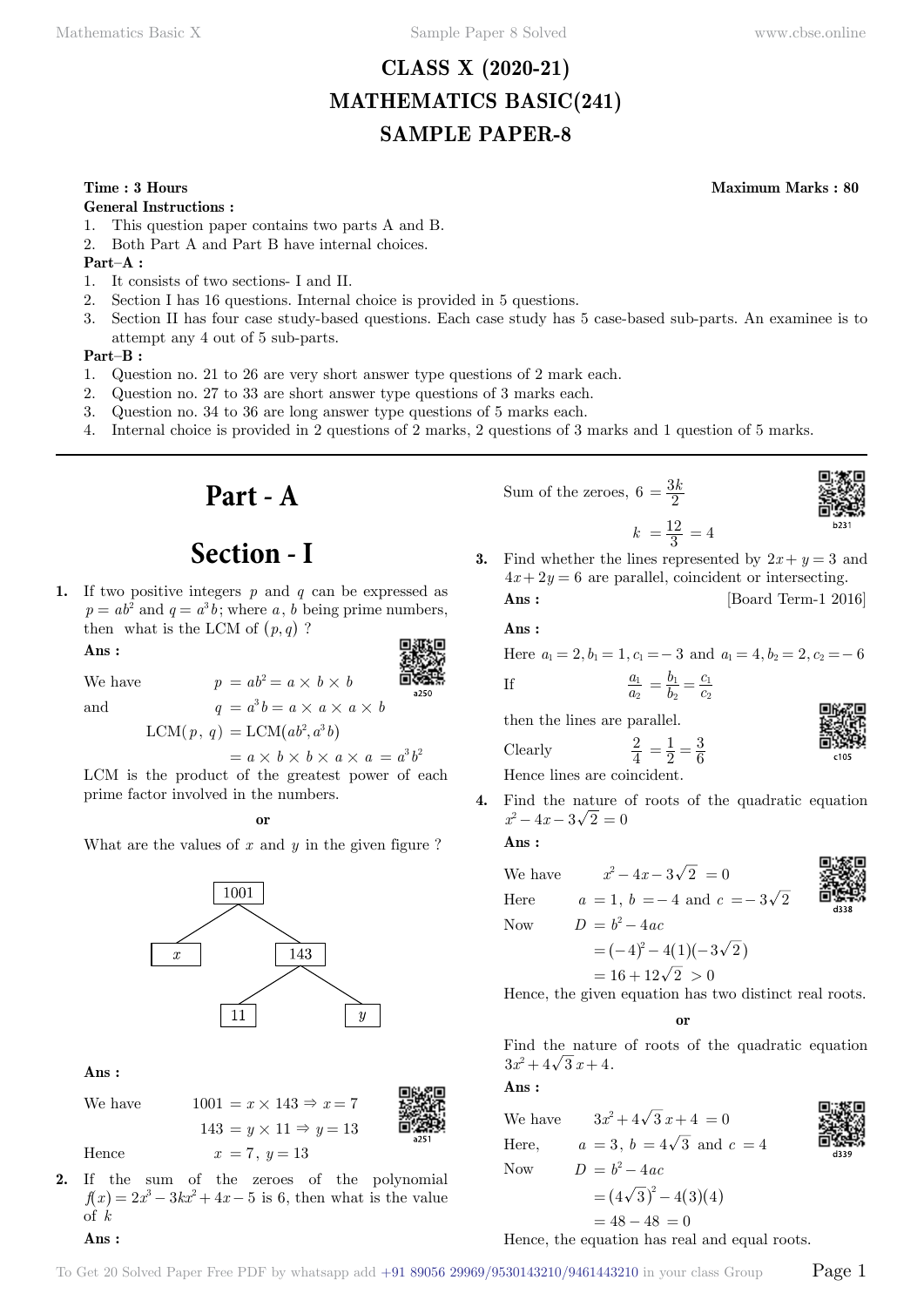# **CLASS X (2020-21) MATHEMATICS BASIC(241) SAMPLE PAPER-8**

### **Time : 3 Hours Maximum Marks : 80**

### **General Instructions :**

- 1. This question paper contains two parts A and B.
- 2. Both Part A and Part B have internal choices.

### **Part–A :**

- 1. It consists of two sections- I and II.
- 2. Section I has 16 questions. Internal choice is provided in 5 questions.
- 3. Section II has four case study-based questions. Each case study has 5 case-based sub-parts. An examinee is to attempt any 4 out of 5 sub-parts.

### **Part–B :**

- 1. Question no. 21 to 26 are very short answer type questions of 2 mark each.
- 2. Question no. 27 to 33 are short answer type questions of 3 marks each.
- 3. Question no. 34 to 36 are long answer type questions of 5 marks each.
- 4. Internal choice is provided in 2 questions of 2 marks, 2 questions of 3 marks and 1 question of 5 marks.

**Part - A**

# **Section - I**

**1.** If two positive integers *p* and *q* can be expressed as  $p = ab^2$  and  $q = a^3b$ ; where *a*, *b* being prime numbers, then what is the LCM of  $(p, q)$  ?

 **Ans :**



We have  $p = ab^2 = a \times b \times b$ 

and 
$$
q = a^3 b = a \times a \times a \times b
$$

 $LCM(p, q) = LCM(ab^2, a^3b)$ 

 $= a \times b \times b \times a \times a = a^3 b^2$ 

LCM is the product of the greatest power of each prime factor involved in the numbers.

### **o**

What are the values of *x* and *y* in the given figure ?



 **Ans :**

 **Ans :**

We have

\n
$$
1001 = x \times 143 \Rightarrow x = 7
$$
\n
$$
143 = y \times 11 \Rightarrow y = 13
$$
\nHence

\n
$$
x = 7, y = 13
$$
\nTherefore, the equation is:

\n
$$
x = 7
$$
\n
$$
x = 13
$$
\nTherefore, the equation is:

\n
$$
x = 7
$$
\n
$$
y = 13
$$
\nTherefore, the equation is:

\n
$$
x = 7
$$
\n
$$
y = 13
$$
\nTherefore, the equation is:

\n
$$
x = 7
$$
\n
$$
y = 13
$$
\nTherefore, the equation is:

\n
$$
x = 7
$$
\n
$$
y = 13
$$
\nTherefore, the equation is:

\n
$$
x = 7
$$
\n
$$
y = 13
$$
\nTherefore, the equation is:

\n
$$
x = 7
$$
\n
$$
y = 13
$$
\nTherefore, the equation is:

\n
$$
x = 7
$$
\n
$$
y = 13
$$
\nTherefore, the equation is:

\n
$$
x = 7
$$
\n
$$
y = 13
$$
\nTherefore, the equation is:

\n
$$
x = 7
$$
\n
$$
y = 13
$$
\nTherefore, the equation is:

\n
$$
x = 7
$$
\n
$$
y = 13
$$
\nTherefore, the equation is:

\n
$$
x = 7
$$
\n
$$
y = 13
$$
\nTherefore, the equation is:

\n
$$
x = 7
$$
\n
$$
y = 13
$$
\nTherefore, the equation is:

\n
$$
x = 7
$$
\n
$$
y = 13
$$
\nTherefore, the equation is:

\n
$$
x = 7
$$
\n
$$
y = 13
$$
\nTherefore, the equation is:

\n
$$
x = 7
$$
\n
$$
y = 13
$$
\nTherefore, the equation is:

\n
$$
x = 7
$$
\n
$$
y = 13
$$

**2.** If the sum of the zeroes of the polynomial  $f(x) = 2x^3 - 3kx^2 + 4x - 5$  is 6, then what is the value of *k*

Sum of the zeroes, 
$$
6 = \frac{3k}{2}
$$

$$
\begin{array}{c}\n\begin{bmatrix}\n\mathbf{X} \\
\mathbf{X} \\
\mathbf{X} \\
\mathbf{X}\n\end{bmatrix} \\
\begin{bmatrix}\n\mathbf{X} \\
\mathbf{X} \\
\mathbf{X} \\
\mathbf{X}\n\end{bmatrix} \\
\begin{bmatrix}\n\mathbf{X} \\
\mathbf{X} \\
\mathbf{X} \\
\mathbf{X}\n\end{bmatrix} \\
\begin{bmatrix}\n\mathbf{X} \\
\mathbf{X} \\
\mathbf{X} \\
\mathbf{X}\n\end{bmatrix} \\
\begin{bmatrix}\n\mathbf{X} \\
\mathbf{X} \\
\mathbf{X} \\
\mathbf{X}\n\end{bmatrix} \\
\begin{bmatrix}\n\mathbf{X} \\
\mathbf{X} \\
\mathbf{X} \\
\mathbf{X}\n\end{bmatrix} \\
\begin{bmatrix}\n\mathbf{X} \\
\mathbf{X} \\
\mathbf{X} \\
\mathbf{X}\n\end{bmatrix} \\
\begin{bmatrix}\n\mathbf{X} \\
\mathbf{X} \\
\mathbf{X} \\
\mathbf{X}\n\end{bmatrix} \\
\begin{bmatrix}\n\mathbf{X} \\
\mathbf{X} \\
\mathbf{X} \\
\mathbf{X}\n\end{bmatrix} \\
\begin{bmatrix}\n\mathbf{X} \\
\mathbf{X} \\
\mathbf{X} \\
\mathbf{X}\n\end{bmatrix} \\
\begin{bmatrix}\n\mathbf{X} \\
\mathbf{X} \\
\mathbf{X} \\
\mathbf{X}\n\end{bmatrix} \\
\begin{bmatrix}\n\mathbf{X} \\
\mathbf{X} \\
\mathbf{X} \\
\mathbf{X}\n\end{bmatrix} \\
\begin{bmatrix}\n\mathbf{X} \\
\mathbf{X} \\
\mathbf{X} \\
\mathbf{X}\n\end{bmatrix} \\
\begin{bmatrix}\n\mathbf{X} \\
\mathbf{X} \\
\mathbf{X} \\
\mathbf{X}\n\end{bmatrix} \\
\begin{bmatrix}\n\mathbf{X} \\
\mathbf{X} \\
\mathbf{X} \\
\mathbf{X}\n\end{bmatrix} \\
\begin{bmatrix}\n\mathbf{X} \\
\mathbf{X} \\
\mathbf{X} \\
\mathbf{X}\n\end{bmatrix} \\
\begin{bmatrix}\n\mathbf{X} \\
\mathbf{X} \\
\mathbf{X} \\
\mathbf{X}\n\end{bmatrix} \\
\begin{bmatrix}\n\mathbf{X} \\
\mathbf{X} \\
\mathbf{X}\n\end{bmatrix} \\
\begin{
$$

**3.** Find whether the lines represented by  $2x + y = 3$  and  $4x + 2y = 6$  are parallel, coincident or intersecting. **Ans :** [Board Term-1 2016]

 $k = \frac{12}{3} = 4$ 

 **Ans :**

If

Here  $a_1 = 2, b_1 = 1, c_1 = -3$  and  $a_1 = 4, b_2 = 2, c_2 = -6$ 

*c c*

$$
\frac{a_1}{a_2} = \frac{b_1}{b_2} = \frac{c_1}{c_2}
$$

then the lines are parallel.

Hence lines are coincident.

$$
\frac{1}{2}
$$

**4.** Find the nature of roots of the quadratic equation  $x^2 - 4x - 3\sqrt{2} = 0$ 

2 1  $=\frac{1}{2}=\frac{3}{6}$ 

 **Ans :**

**Clearly** 

We have  $x^2 - 4x - 3\sqrt{2} = 0$ Here  $a = 1, b = -4$  and  $c = -3\sqrt{2}$ Now  $D = b^2 - 4ac$  $= (-4)^2 - 4(1)(-3\sqrt{2})$ 

2

$$
= (-4)^{2} - 4(1)(-3)^{2}
$$
  
= 16 + 12 $\sqrt{2}$  > 0

Hence, the given equation has two distinct real roots.

 **o**

Find the nature of roots of the quadratic equation  $3x^2 + 4\sqrt{3}x + 4$ .

### **Ans :**

We have  $3x^2 + 4\sqrt{3}x + 4 = 0$ Here,  $a = 3$ ,  $b = 4\sqrt{3}$  and  $c = 4$ Now  $D = b^2 - 4ac$  $= (4\sqrt{3})^2 - 4(3)(4)$ 

$$
\begin{matrix}\n\mathbf{1} & \mathbf{1} \\
\mathbf{1} & \mathbf{1} \\
\mathbf{1} & \mathbf{1} \\
\mathbf{1} & \mathbf{1}\n\end{matrix}
$$

$$
= 48 - 48 = 0
$$
  
Hence, the equation has real and equal roots.

To Get 20 Solved Paper Free PDF by whatsapp add  $+91\,89056\,29969/9530143210/9461443210$  in your class Group  $\qquad$   $\qquad$   $\qquad$   $\qquad$ 

 $\sim$   $\sim$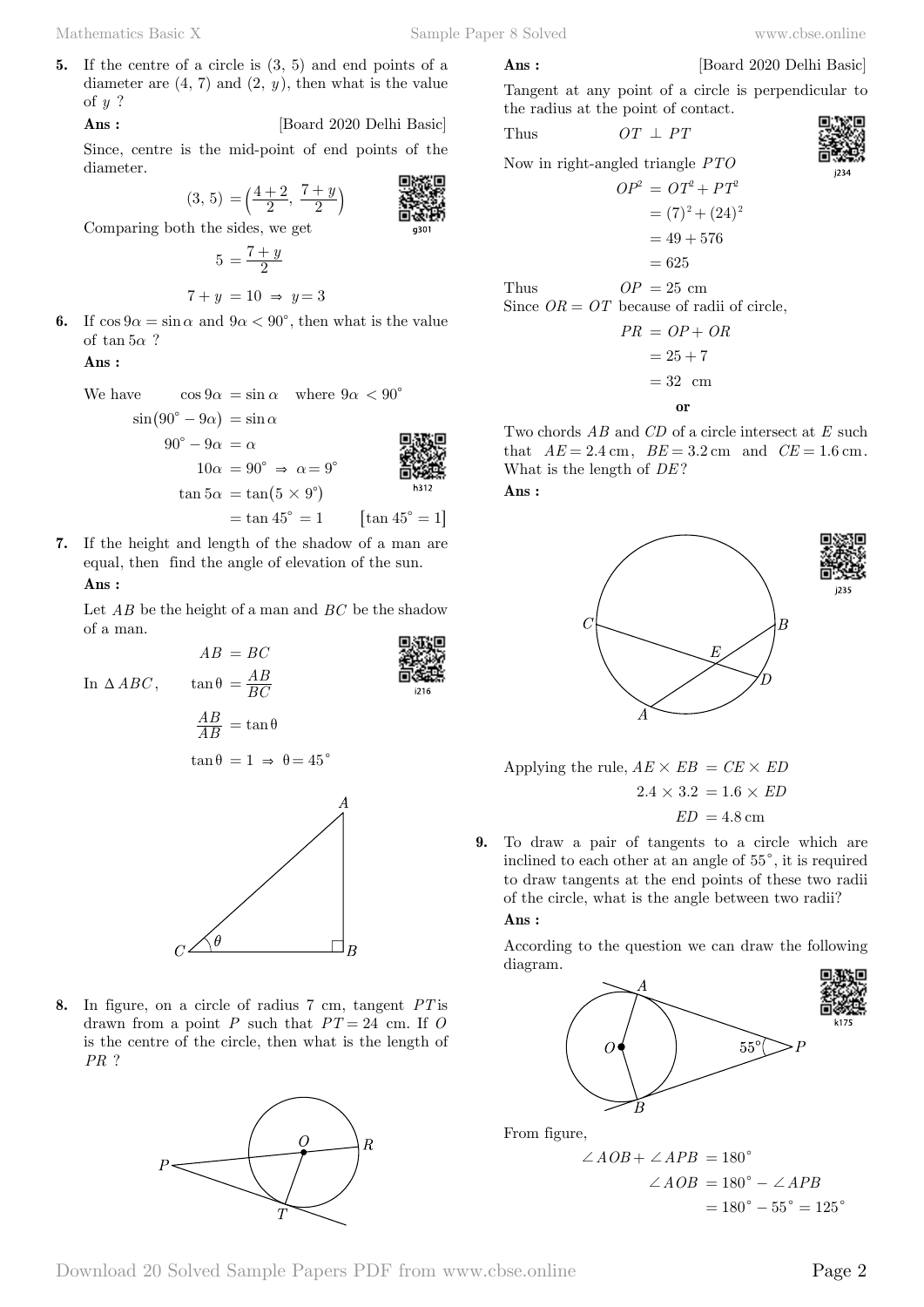a301

 $1216$ 

**5.** If the centre of a circle is (3, 5) and end points of a diameter are  $(4, 7)$  and  $(2, y)$ , then what is the value of *y* ?

 **Ans :** [Board 2020 Delhi Basic]

Since, centre is the mid-point of end points of the diameter.

$$
(3, 5) = \left(\frac{4+2}{2}, \frac{7+y}{2}\right)
$$

Comparing both the sides, we get

$$
5 = \frac{7+y}{2}
$$

$$
7 + y = 10 \Rightarrow y = 3
$$

**6.** If  $\cos 9\alpha = \sin \alpha$  and  $9\alpha < 90^{\circ}$ , then what is the value of tan 5*α* ?

 **Ans :**

We have 
$$
\cos 9\alpha = \sin \alpha
$$
 where  $9\alpha < 90^{\circ}$   
\n $\sin(90^{\circ} - 9\alpha) = \sin \alpha$   
\n $90^{\circ} - 9\alpha = \alpha$   
\n $10\alpha = 90^{\circ} \Rightarrow \alpha = 9^{\circ}$   
\n $\tan 5\alpha = \tan(5 \times 9^{\circ})$   
\n $= \tan 45^{\circ} = 1$  [tan 45° = 1]

**7.** If the height and length of the shadow of a man are equal, then find the angle of elevation of the sun.

 **Ans :**

Let *AB* be the height of a man and *BC* be the shadow of a man.

In  $\triangle ABC$ ,  $\tan \theta$ 

$$
\tan \theta = \frac{AB}{BC}
$$

$$
\frac{AB}{AB} = \tan \theta
$$

$$
\tan \theta = 1 \implies \theta = 45^{\circ}
$$

*AB* <sup>=</sup>

 $AB = BC$ 



**8.** In figure, on a circle of radius 7 cm, tangent *PT* is drawn from a point  $P$  such that  $PT = 24$  cm. If  $O$ is the centre of the circle, then what is the length of *PR* ?



### **Ans :** [Board 2020 Delhi Basic]

Tangent at any point of a circle is perpendicular to the radius at the point of contact.

Thus 
$$
OT \perp PT
$$

Now in right-angled triangle *PTO*

$$
OP2 = OT2 + PT2
$$

$$
= (7)2 + (24)2
$$

$$
= 49 + 576
$$

$$
= 625
$$

Thus  $OP = 25$  cm Since  $OR = OT$  because of radii of circle,

$$
PR = OP + OR
$$

$$
= 25 + 7
$$

$$
= 32 \text{ cm}
$$
or

Two chords *AB* and *CD* of a circle intersect at *E* such that  $AE = 2.4 \text{ cm}$ ,  $BE = 3.2 \text{ cm}$  and  $CE = 1.6 \text{ cm}$ . What is the length of *DE* ?

 **Ans :**



Applying the rule,  $AE \times EB = CE \times ED$  $2.4 \times 3.2 = 1.6 \times ED$  $ED = 4.8$  cm

**9.** To draw a pair of tangents to a circle which are inclined to each other at an angle of  $55^{\circ}$ , it is required to draw tangents at the end points of these two radii of the circle, what is the angle between two radii?  **Ans :**

According to the question we can draw the following diagram.



From figure,

$$
\angle AOB + \angle APB = 180^{\circ}
$$
  

$$
\angle AOB = 180^{\circ} - \angle APB
$$
  

$$
= 180^{\circ} - 55^{\circ} = 125^{\circ}
$$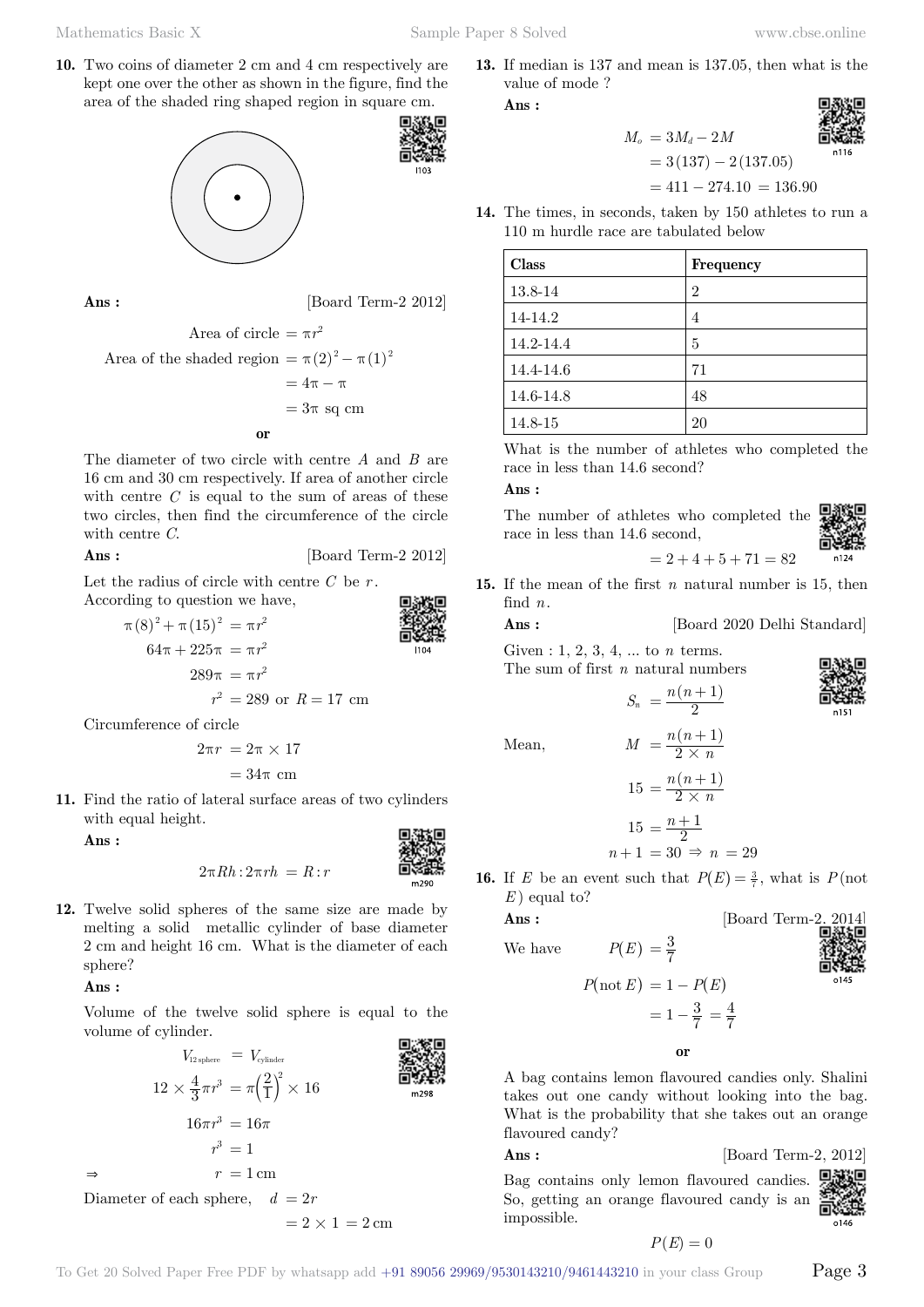Mathematics Basic X Sample Paper 8 Solved www.cbse.online

**10.** Two coins of diameter 2 cm and 4 cm respectively are kept one over the other as shown in the figure, find the area of the shaded ring shaped region in square cm.



**Ans :** [Board Term-2 2012]

Area of circle = 
$$
\pi r^2
$$
  
Area of the shaded region =  $\pi (2)^2 - \pi (1)^2$   
=  $4\pi - \pi$   
=  $3\pi$  sq cm

The diameter of two circle with centre *A* and *B* are 16 cm and 30 cm respectively. If area of another circle with centre *C* is equal to the sum of areas of these two circles, then find the circumference of the circle with centre *C*.

**Ans :** [Board Term-2 2012]

Let the radius of circle with centre  $C$  be  $r$ . According to question we have,

$$
\pi (8)^{2} + \pi (15)^{2} = \pi r^{2}
$$
\n
$$
64\pi + 225\pi = \pi r^{2}
$$
\n
$$
289\pi = \pi r^{2}
$$
\n
$$
r^{2} = 289 \text{ or } R = 17 \text{ cm}
$$

Circumference of circle

$$
2\pi r = 2\pi \times 17
$$

$$
= 34\pi \text{ cm}
$$

**11.** Find the ratio of lateral surface areas of two cylinders with equal height.

 **Ans :**

$$
2\pi Rh: 2\pi rh = R:r
$$

**12.** Twelve solid spheres of the same size are made by melting a solid metallic cylinder of base diameter 2 cm and height 16 cm. What is the diameter of each sphere?

### **Ans :**

Volume of the twelve solid sphere is equal to the volume of cylinder.



 $= 2 \times 1 = 2 \text{ cm}$ 

**13.** If median is 137 and mean is 137.05, then what is the value of mode ?

 **Ans :**

 $M_e = 3M_d - 2M$  $= 3(137) - 2(137.05)$ 



$$
= 411 - 274.10 = 136.90
$$

**14.** The times, in seconds, taken by 150 athletes to run a 110 m hurdle race are tabulated below

| Class     | Frequency |
|-----------|-----------|
| 13.8-14   | 2         |
| 14-14.2   | 4         |
| 14.2-14.4 | 5         |
| 14.4-14.6 | 71        |
| 14.6-14.8 | 48        |
| 14.8-15   | 20        |

What is the number of athletes who completed the race in less than 14.6 second?

### **Ans :**

The number of athletes who completed the race in less than 14.6 second,

$$
\begin{matrix}\n\mathbf{1} & \mathbf{1} \\
\mathbf{1} & \mathbf{1} \\
\mathbf{1} & \mathbf{1} \\
\mathbf{1} & \mathbf{1} \\
\mathbf{1} & \mathbf{1} \\
\mathbf{1} & \mathbf{1} \\
\mathbf{1} & \mathbf{1} \\
\mathbf{1} & \mathbf{1} \\
\mathbf{1} & \mathbf{1} \\
\mathbf{1} & \mathbf{1} \\
\mathbf{1} & \mathbf{1} \\
\mathbf{1} & \mathbf{1} \\
\mathbf{1} & \mathbf{1} \\
\mathbf{1} & \mathbf{1} \\
\mathbf{1} & \mathbf{1} \\
\mathbf{1} & \mathbf{1} \\
\mathbf{1} & \mathbf{1} \\
\mathbf{1} & \mathbf{1} \\
\mathbf{1} & \mathbf{1} \\
\mathbf{1} & \mathbf{1} \\
\mathbf{1} & \mathbf{1} \\
\mathbf{1} & \mathbf{1} \\
\mathbf{1} & \mathbf{1} \\
\mathbf{1} & \mathbf{1} \\
\mathbf{1} & \mathbf{1} \\
\mathbf{1} & \mathbf{1} \\
\mathbf{1} & \mathbf{1} \\
\mathbf{1} & \mathbf{1} \\
\mathbf{1} & \mathbf{1} \\
\mathbf{1} & \mathbf{1} \\
\mathbf{1} & \mathbf{1} \\
\mathbf{1} & \mathbf{1} \\
\mathbf{1} & \mathbf{1} \\
\mathbf{1} & \mathbf{1} \\
\mathbf{1} & \mathbf{1} \\
\mathbf{1} & \mathbf{1} \\
\mathbf{1} & \mathbf{1} \\
\mathbf{1} & \mathbf{1} \\
\mathbf{1} & \mathbf{1} \\
\mathbf{1} & \mathbf{1} \\
\mathbf{1} & \mathbf{1} \\
\mathbf{1} & \mathbf{1} \\
\mathbf{1} & \mathbf{1} \\
\mathbf{1} & \mathbf{1} \\
\mathbf{1} & \mathbf{1} \\
\mathbf{1} & \mathbf{1} \\
\mathbf{1} & \mathbf{1} \\
\mathbf{1} & \mathbf{1} \\
\mathbf{1} & \mathbf{1} \\
\mathbf{1} & \mathbf{1} \\
\mathbf{1} & \mathbf{1} \\
\mathbf{1} & \mathbf{1} \\
\mathbf{1} & \mathbf{1} \\
\mathbf{1} & \mathbf{1
$$

**15.** If the mean of the first *n* natural number is 15, then

[Board 2020 Delhi Standard]

 $2, 3, 4, \ldots$  to *n* terms. The sum of first *n* natural numbers

$$
S_n = \frac{n(n+1)}{2}
$$

 $= 2 + 4 + 5 + 71 = 82$ 

Mean,  
\n
$$
M = \frac{n(n+1)}{2 \times n}
$$
\n
$$
15 = \frac{n(n+1)}{2 \times n}
$$
\n
$$
15 = \frac{n+1}{2}
$$
\n
$$
n+1 = 30 \Rightarrow n = 29
$$

**16.** If *E* be an event such that  $P(E) = \frac{3}{7}$ , what is  $P(\text{not})$ *E* ) equal to?

We have 
$$
P(E) = \frac{3}{7}
$$

Ans:

\nUse have

\n
$$
P(E) = \frac{3}{7}
$$
\n[Board Term-2. 2014]

\nUsing the equation of the following matrices:

\n
$$
P(E) = \frac{3}{7}
$$
\nExercise 1.2014]

\nExercise 2.2014]

\nExercise 2.2014]

\nExercise 2.2014]

\nExercise 2.2014]

\nExercise 2.2014]

\nExercise 2.2014]

\nExercise 2.2014]

\nExercise 2.2014]

\nExercise 2.2014]

\nExercise 2.2014]

\nExercise 2.2014]

\nExercise 2.2014]

\nExercise 2.2014]

\nExercise 2.2014]

\nExercise 2.2014]

\nExercise 2.2014]

\nExercise 2.2014]

\nExercise 2.2014]

\nExercise 2.2014]

\nExercise 2.2014]

\nExercise 2.2014]

\nExercise 2.2014]

\nExercise 2.2014]

\nExercise 2.2014]

\nExercise 2.2014]

\nExercise 2.2014]

\nExercise 2.2014]

\nExercise 2.2014]

\nExercise 2.2014]

\nExercise 2.2014]

\nExercise 2.2014]

\nExercise 2.2014]

\nExercise 2.2014]

\nExercise 2.2014]

\nExercise 2.2014]

\nExercise 2.2014]

\nExercise 2.2014]

\nExercise 2.2014]

\nExercise 2.2014]

\nExercise 2.2014]

\nExercise 2.2014]

\nExercise 2.2014]

\nExercise 2.2014]

\nExercise 2.2014]

\nExercise 2.2014]

\nExercise 2.2014]

\nExercise 2.2014]

\nExercise 2.201

$$
P(\text{not } E) = 1 - P(E)
$$

$$
= 1 - \frac{3}{7} = \frac{4}{7}
$$

 **o**

A bag contains lemon flavoured candies only. Shalini takes out one candy without looking into the bag. What is the probability that she takes out an orange flavoured candy?

### **Ans :** [Board Term-2, 2012]

Bag contains only lemon flavoured candies. So, getting an orange flavoured candy is an 司道 impossible.

$$
P(E) = 0
$$

 $0146$ 

| find $n$ .     |  |
|----------------|--|
| Ans:           |  |
| Given $: 1, 2$ |  |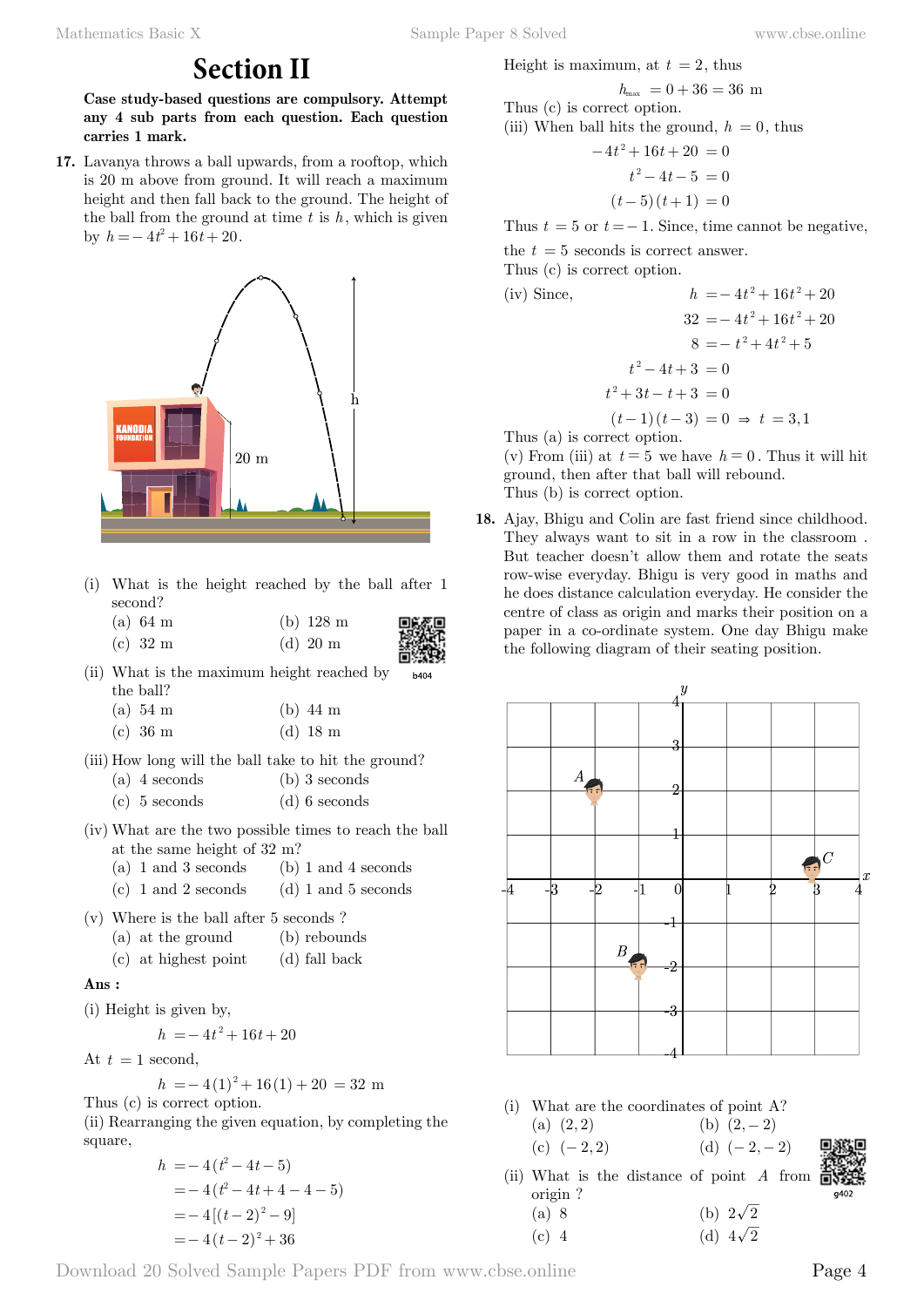# **Section II**

**Case study-based questions are compulsory. Attempt any 4 sub parts from each question. Each question carries 1 mark.**

**17.** Lavanya throws a ball upwards, from a rooftop, which is 20 m above from ground. It will reach a maximum height and then fall back to the ground. The height of the ball from the ground at time  $t$  is  $h$ , which is given by  $h = -4t^2 + 16t + 20$ .



- (i) What is the height reached by the ball after 1 second?
	- (a) 64 m (b) 128 m (c)  $32 \text{ m}$  (d)  $20 \text{ m}$ 
		-

(ii) What is the maximum height reached by b404 the ball?

| $(a)$ 54 m | $(b)$ 44 m |  |  |
|------------|------------|--|--|
|------------|------------|--|--|

- (c) 36 m (d) 18 m
- (iii) How long will the ball take to hit the ground? (a) 4 seconds (b) 3 seconds
	- (c) 5 seconds (d) 6 seconds
- (iv) What are the two possible times to reach the ball at the same height of 32 m?
	- (a) 1 and 3 seconds (b) 1 and 4 seconds
	- (c)  $1$  and  $2$  seconds (d)  $1$  and  $5$  seconds
- (v) Where is the ball after 5 seconds ?
	- (a) at the ground (b) rebounds
	- (c) at highest point (d) fall back

### **Ans :**

(i) Height is given by,

 $h = -4t^2 + 16t + 20$ 

At  $t = 1$  second,

 $h = -4(1)^2 + 16(1) + 20 = 32$  m

Thus (c) is correct option.

(ii) Rearranging the given equation, by completing the square,

$$
h = -4(t^2 - 4t - 5)
$$
  
= -4(t<sup>2</sup> - 4t + 4 - 4 - 5)  
= -4[(t-2)<sup>2</sup> - 9]  
= -4(t-2)<sup>2</sup> + 36

Height is maximum, at  $t = 2$ , thus

 $h_{\text{max}}$  = 0 + 36 = 36 m

Thus (c) is correct option. (iii) When ball hits the ground,  $h = 0$ , thus

$$
-4t2 + 16t + 20 = 0
$$
  

$$
t2 - 4t - 5 = 0
$$
  

$$
(t-5)(t+1) = 0
$$

Thus  $t = 5$  or  $t = -1$ . Since, time cannot be negative,

the  $t = 5$  seconds is correct answer.

Thus (c) is correct option.

(iv) Since,  $h = -4t^2 + 16t^2 + 20$  $32 = -4t^2 + 16t^2 + 20$  $8 = -t^2 + 4t^2 + 5$  $t^2 - 4t + 3 = 0$  $t^2 + 3t - t + 3 = 0$  $(t-1) (t-3) = 0 \Rightarrow t = 3,1$ 

Thus (a) is correct option.

(v) From (iii) at  $t = 5$  we have  $h = 0$ . Thus it will hit ground, then after that ball will rebound. Thus (b) is correct option.

**18.** Ajay, Bhigu and Colin are fast friend since childhood. They always want to sit in a row in the classroom . But teacher doesn't allow them and rotate the seats row-wise everyday. Bhigu is very good in maths and he does distance calculation everyday. He consider the centre of class as origin and marks their position on a paper in a co-ordinate system. One day Bhigu make the following diagram of their seating position.



- (i) What are the coordinates of point A?
	- (a)  $(2, 2)$  (b)  $(2, -2)$ (c)  $(-2, 2)$  (d)  $(-2, -2)$



(ii) What is the distance of point *A* from origin ? (a) 8 (b)  $2\sqrt{2}$ 

(c) 4 (d)  $4\sqrt{2}$ 

Download 20 Solved Sample Papers PDF from [www.cbse.online](http://www.cbse.online) Page 4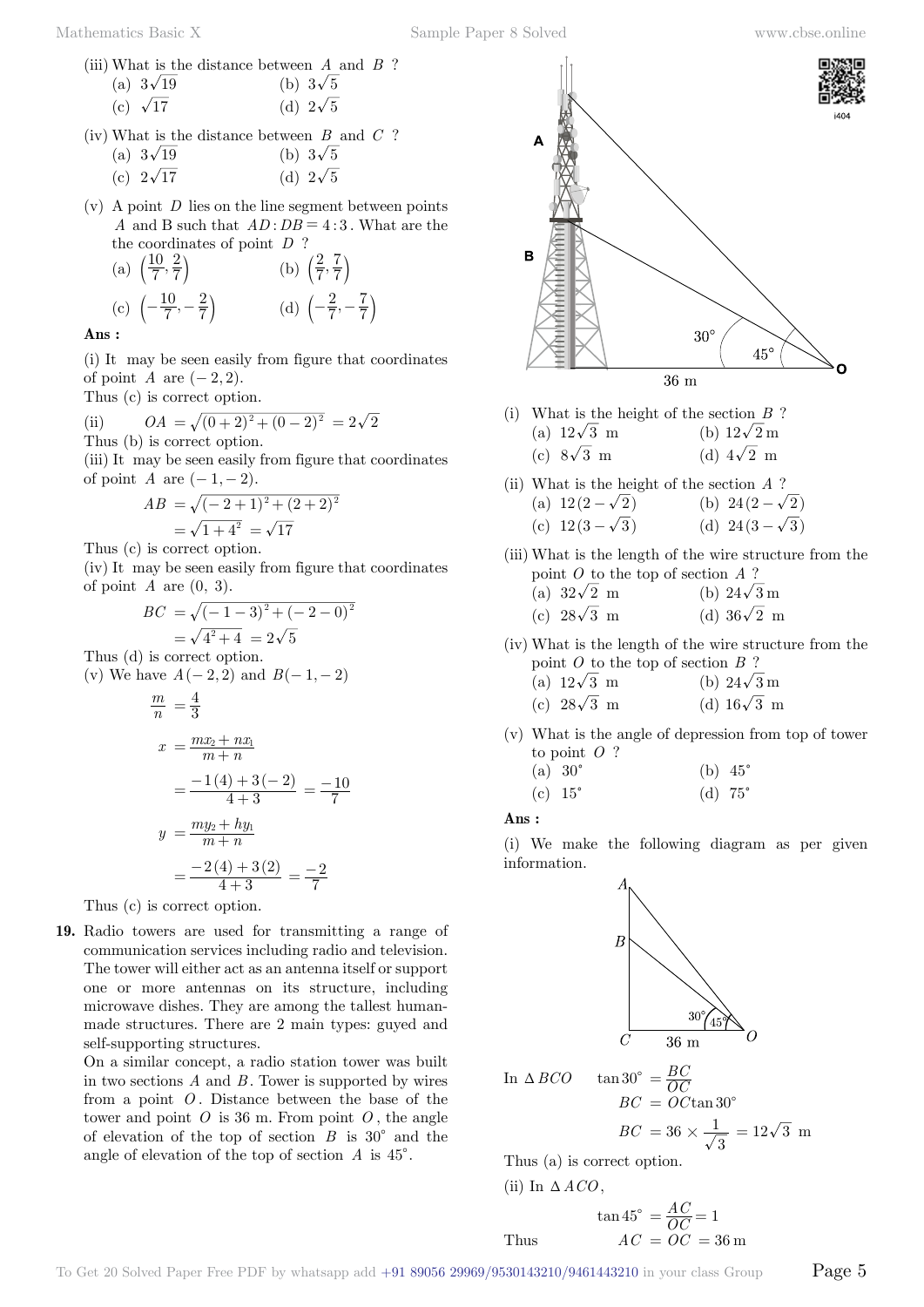(iii) What is the distance between *A* and *B* ?

| (a) $3\sqrt{19}$ | (b) $3\sqrt{5}$ |
|------------------|-----------------|
| (c) $\sqrt{17}$  | (d) $2\sqrt{5}$ |

(iv) What is the distance between *B* and *C* ? (a)  $3\sqrt{19}$  (b)  $3\sqrt{5}$ 

| $\left(\begin{array}{cc} -1 \end{array}\right)$ | $\sqrt{-1}$     |
|-------------------------------------------------|-----------------|
| (c) $2\sqrt{17}$                                | (d) $2\sqrt{5}$ |

(v) A point *D* lies on the line segment between points *A* and B such that  $AD:DB = 4:3$ . What are the the coordinates of point *D* ?

(a) 
$$
\left(\frac{10}{7}, \frac{2}{7}\right)
$$
 (b)  $\left(\frac{2}{7}, \frac{7}{7}\right)$   
\n(c)  $\left(-\frac{10}{7}, -\frac{2}{7}\right)$  (d)  $\left(-\frac{2}{7}, -\frac{7}{7}\right)$ 

 **Ans :**

Thus (d)

(i) It may be seen easily from figure that coordinates of point *A* are  $(-2, 2)$ .

Thus (c) is correct option.

(ii) 
$$
OA = \sqrt{(0+2)^2 + (0-2)^2} = 2\sqrt{2}
$$

Thus (b) is correct option.

(iii) It may be seen easily from figure that coordinates of point *A* are  $(-1, -2)$ .

$$
AB = \sqrt{(-2+1)^2 + (2+2)^2}
$$
  
=  $\sqrt{1+4^2} = \sqrt{17}$ 

Thus (c) is correct option.

(iv) It may be seen easily from figure that coordinates of point  $A$  are  $(0, 3)$ .

$$
BC = \sqrt{(-1-3)^2 + (-2-0)^2}
$$
  
=  $\sqrt{4^2 + 4} = 2\sqrt{5}$   
Thus (d) is correct option.  
(v) We have  $A(-2, 2)$  and  $B(-1, -2)$ 

$$
\frac{m}{n} = \frac{4}{3}
$$
  

$$
x = \frac{mx_2 + nx_1}{m+n}
$$

$$
= \frac{-1(4) + 3(-2)}{4+3} = \frac{-10}{7}
$$

$$
y = \frac{my_2 + hy_1}{m+n}
$$

$$
= \frac{-2(4) + 3(2)}{4+3} = \frac{-2}{7}
$$

Thus (c) is correct option.

**19.** Radio towers are used for transmitting a range of communication services including radio and television. The tower will either act as an antenna itself or support one or more antennas on its structure, including microwave dishes. They are among the tallest humanmade structures. There are 2 main types: guyed and self-supporting structures.

On a similar concept, a radio station tower was built in two sections *A* and *B* . Tower is supported by wires from a point *O* . Distance between the base of the tower and point  $O$  is 36 m. From point  $O$ , the angle of elevation of the top of section  $B$  is 30<sup>°</sup> and the angle of elevation of the top of section  $A$  is  $45^{\circ}$ .



- (i) What is the height of the section *B* ? (a)  $12\sqrt{3}$  m (b)  $12\sqrt{2}$  m (c)  $8\sqrt{3}$  m (d)  $4\sqrt{2}$  m
- (ii) What is the height of the section *A* ?
	- (a)  $12(2-\sqrt{2})$  (b)  $24(2-\sqrt{2})$ (c)  $12(3-\sqrt{3})$  (d)  $24(3-\sqrt{3})$
- (iii) What is the length of the wire structure from the point *O* to the top of section *A* ?<br>(a)  $22\sqrt{2}$  m  $\frac{1}{(a)}$  39  $\sqrt{2}$  m

(a) 
$$
32\sqrt{2}
$$
 m  
(b)  $24\sqrt{3}$  m  
(c)  $28\sqrt{3}$  m  
(d)  $36\sqrt{2}$  m

(iv) What is the length of the wire structure from the point *O* to the top of section *B* ?

| (a) $12\sqrt{3}$ m | (b) $24\sqrt{3}$ m |
|--------------------|--------------------|
| (c) $28\sqrt{3}$ m | (d) $16\sqrt{3}$ m |

(v) What is the angle of depression from top of tower to point *O* ?

(a) 30c (b) 45c (c) 15c (d) 75c

 **Ans :**

(i) We make the following diagram as per given information.



In 
$$
\triangle BCO
$$
  $\tan 30^{\circ} = \frac{BC}{OC}$   
 $BC = OC \tan 30^{\circ}$ 

$$
BC = 36 \times \frac{1}{\sqrt{3}} = 12\sqrt{3} \text{ m}
$$

Thus (a) is correct option.

(ii) In 
$$
\triangle ACO
$$
,

$$
\tan 45^\circ = \frac{AC}{OC} = 1
$$
  
Thus  $AC = OC = 36 \text{ m}$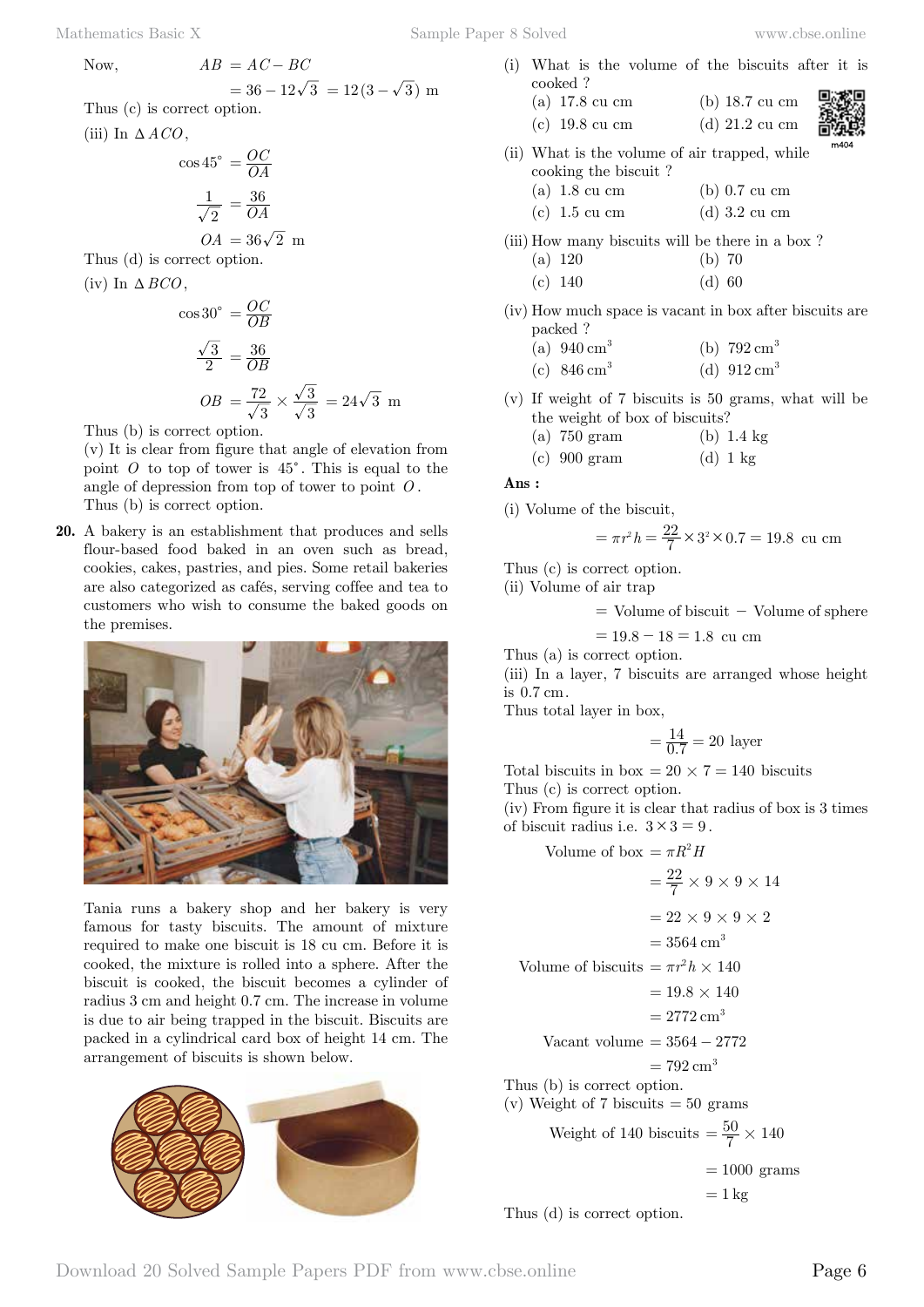Mathematics Basic X Sample Paper 8 Solved www.cbse.online

(i) What is the volume of the biscuits after it is cooked ?

$$
= 36 - 12\sqrt{3} = 12(3 - \sqrt{3})
$$
 m  
Thus (c) is correct option.

Now,  $AB = AC - BC$ 

(iii) In  $\triangle ACO$ ,

$$
\cos 45^\circ = \frac{OC}{OA}
$$

$$
\frac{1}{\sqrt{2}} = \frac{36}{OA}
$$

$$
OA = 36\sqrt{2} \text{ m}
$$

Thus (d) is correct option.

(iv) In  $\triangle BCO$ .

$$
\cos 30^\circ = \frac{OC}{OB}
$$
  

$$
\frac{\sqrt{3}}{2} = \frac{36}{OB}
$$
  

$$
OB = \frac{72}{\sqrt{3}} \times \frac{\sqrt{3}}{\sqrt{3}} = 24\sqrt{3}
$$
 m

Thus (b) is correct option.

(v) It is clear from figure that angle of elevation from point  $O$  to top of tower is  $45^\circ$ . This is equal to the angle of depression from top of tower to point *O* . Thus (b) is correct option.

**20.** A bakery is an establishment that produces and sells flour-based food baked in an oven such as bread, cookies, cakes, pastries, and pies. Some retail bakeries are also categorized as cafés, serving coffee and tea to customers who wish to consume the baked goods on the premises.



Tania runs a bakery shop and her bakery is very famous for tasty biscuits. The amount of mixture required to make one biscuit is 18 cu cm. Before it is cooked, the mixture is rolled into a sphere. After the biscuit is cooked, the biscuit becomes a cylinder of radius 3 cm and height 0.7 cm. The increase in volume is due to air being trapped in the biscuit. Biscuits are packed in a cylindrical card box of height 14 cm. The arrangement of biscuits is shown below.



| $(a)$ 17.8 cu cm                              | $(b)$ 18.7 cu cm |   |
|-----------------------------------------------|------------------|---|
| $(c)$ 19.8 cu cm                              | $(d)$ 21.2 cu cm | ă |
| (ii) What is the volume of air trapped, while |                  | m |
| cooking the biscuit?                          |                  |   |
| $(a)$ 1.8 cu cm                               | $(b)$ 0.7 cu cm  |   |
| $(c)$ 1.5 cu cm                               | $(d)$ 3.2 cu cm  |   |

- (iii) How many biscuits will be there in a box ?
	- (a) 120 (b) 70 (c) 140 (d) 60
- (iv) How much space is vacant in box after biscuits are packed ?
	- (a)  $940 \text{ cm}^3$  (b)  $792 \text{ cm}^3$
	- (c)  $846 \text{ cm}^3$  (d)  $912 \text{ cm}^3$
- (v) If weight of 7 biscuits is 50 grams, what will be the weight of box of biscuits?
	- (a) 750 gram (b) 1.4 kg
	- (c)  $900 \text{ gram}$  (d)  $1 \text{ kg}$

### **Ans :**

(i) Volume of the biscuit,

$$
= \pi r^2 h = \frac{22}{7} \times 3^2 \times 0.7 = 19.8
$$
cu cm

Thus (c) is correct option.

(ii) Volume of air trap

 $=$  Volume of biscuit  $-$  Volume of sphere

$$
= 19.8 - 18 = 1.8
$$
 cu cm

Thus (a) is correct option.

(iii) In a layer, 7 biscuits are arranged whose height is  $0.7 \text{ cm}$ .

Thus total layer in box,

$$
=\frac{14}{0.7} = 20
$$
 layer

Total biscuits in box =  $20 \times 7 = 140$  biscuits Thus (c) is correct option.

(iv) From figure it is clear that radius of box is 3 times of biscuit radius i.e.  $3 \times 3 = 9$ .

Volume of box  $= \pi R^2 H$ 

 $=\frac{22}{7}\times 9\times 9\times 14$  $= 22 \times 9 \times 9 \times 2$  $= 3564$  cm<sup>3</sup> Volume of biscuits  $= \pi r^2 h \times 140$  $= 19.8 \times 140$  $= 2772 \text{ cm}^3$ Vacant volume  $= 3564 - 2772$  $= 792 \,\mathrm{cm}^3$ Thus (b) is correct option. (v) Weight of 7 biscuits  $= 50$  grams Weight of 140 biscuits  $=$   $\frac{50}{7} \times 140$  $= 1000$  grams  $= 1 \text{ kg}$ 

Thus (d) is correct option.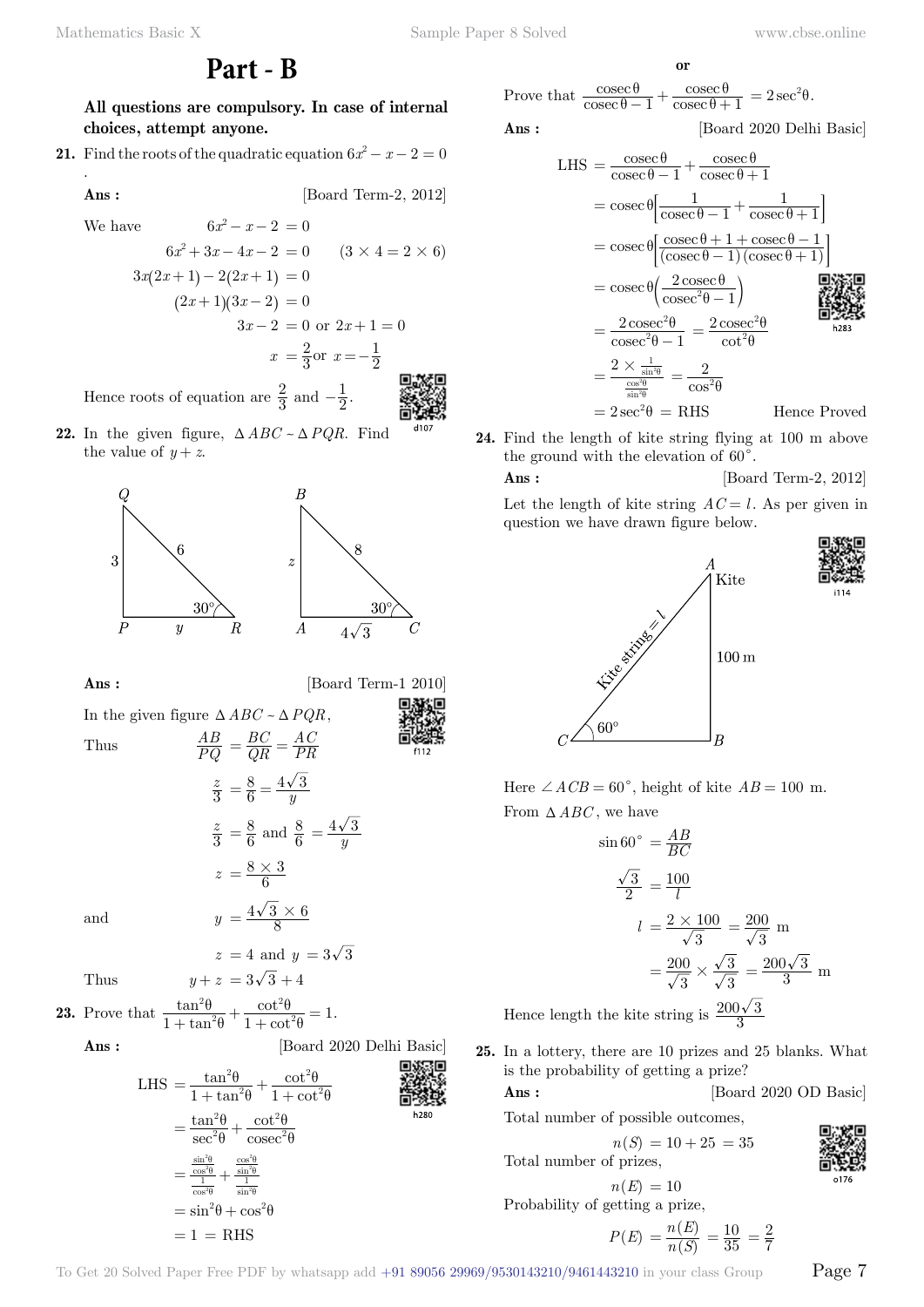## **Part - B**

**All questions are compulsory. In case of internal choices, attempt anyone.**

**21.** Find the roots of the quadratic equation  $6x^2 - x - 2 = 0$ .

**Ans :** [Board Term-2, 2012]

We have  $6x^2 - x - 2 = 0$ 

$$
6x^{2} + 3x - 4x - 2 = 0 \t(3 \times 4 = 2 \times 6)
$$
  
\n
$$
3x(2x+1) - 2(2x+1) = 0
$$
  
\n
$$
(2x+1)(3x-2) = 0
$$
  
\n
$$
3x-2 = 0 \text{ or } 2x+1 = 0
$$
  
\n
$$
x = \frac{2}{3} \text{ or } x = -\frac{1}{2}
$$

Hence roots of equation are  $\frac{2}{3}$  and  $-\frac{1}{2}$ .

**22.** In the given figure,  $\triangle ABC \sim \triangle PQR$ . Find the value of  $y + z$ .



**Ans :** [Board Term-1 2010]

[Board 2020 Delhi Basic]

In the given figure  $\triangle ABC \sim \triangle PQR$ , Thus  $\frac{AB}{PQ}$ *BC*  $\frac{BC}{QR} = \frac{AC}{PR}$ 

Thus  
\n
$$
PQ = QR = PR
$$
\n
$$
\frac{z}{3} = \frac{8}{6} = \frac{4\sqrt{3}}{y}
$$
\n
$$
\frac{z}{3} = \frac{8}{6} \text{ and } \frac{8}{6} = \frac{4\sqrt{3}}{y}
$$
\n
$$
z = \frac{8 \times 3}{6}
$$
\nand  
\n
$$
y = \frac{4\sqrt{3} \times 6}{8}
$$

$$
z = 4 \text{ and } y = 3\sqrt{3}
$$
  
Thus 
$$
y + z = 3\sqrt{3} + 4
$$

**23.** Prove that  $\frac{\tan \theta}{1 + \tan \theta}$ tan cot cot  $\frac{\tan^2\theta}{1+\tan^2\theta} + \frac{\cot^2\theta}{1+\cot^2\theta} = 1$ 2 2 θ θ θ θ  $\frac{\tan \theta}{\theta} + \frac{\cot \theta}{1 + \cot^2 \theta} = 1.$ 

$$
\mathbf{Ans}:
$$

LHS = 
$$
\frac{\tan^2 \theta}{1 + \tan^2 \theta} + \frac{\cot^2 \theta}{1 + \cot^2 \theta}
$$
  
\n= 
$$
\frac{\tan^2 \theta}{\sec^2 \theta} + \frac{\cot^2 \theta}{\csc^2 \theta}
$$
  
\n= 
$$
\frac{\frac{\sin^2 \theta}{\cos^2 \theta}}{\frac{1}{\cos^2 \theta} + \frac{\frac{\cos^2 \theta}{\sin^2 \theta}}{\sin^2 \theta}}
$$
  
\n= 
$$
\sin^2 \theta + \cos^2 \theta
$$
  
\n= 1 = RHS

Prove that  $\frac{\cos}{\csc}$ cosec θ  $\frac{\sec \theta}{\theta - 1} + \frac{\csc \theta}{\csc \theta + 1} = 2 \sec^2 \theta.$ cosec θ

 **o**

 **Ans :** [Board 2020 Delhi Basic]

LHS = 
$$
\frac{\csc \theta}{\csc \theta - 1} + \frac{\csc \theta}{\csc \theta + 1}
$$
  
\n=  $\csc \theta \left[ \frac{1}{\csc \theta - 1} + \frac{1}{\csc \theta + 1} \right]$   
\n=  $\csc \theta \left[ \frac{\csc \theta + 1 + \csc \theta - 1}{(\csc \theta - 1)(\csc \theta + 1)} \right]$   
\n=  $\csc \theta \left( \frac{2 \csc \theta}{\csc^2 \theta - 1} \right)$   
\n=  $\frac{2 \csc^2 \theta}{\csc^2 \theta - 1} = \frac{2 \csc^2 \theta}{\cot^2 \theta}$   
\n=  $\frac{2 \times \frac{1}{\sin^2 \theta}}{\csc^2 \theta - 1} = \frac{2}{\cos^2 \theta}$   
\n=  $2 \sec^2 \theta = RHS$  Hence Proved

**24.** Find the length of kite string flying at 100 m above the ground with the elevation of  $60^{\circ}$ .

### **Ans :** [Board Term-2, 2012]

Let the length of kite string  $AC = l$ . As per given in question we have drawn figure below.



Here  $\angle ACB = 60^\circ$ , height of kite  $AB = 100$  m. From  $\triangle ABC$ , we have

$$
\sin 60^\circ = \frac{AB}{BC}
$$
  

$$
\frac{\sqrt{3}}{2} = \frac{100}{l}
$$
  

$$
l = \frac{2 \times 100}{\sqrt{3}} = \frac{200}{\sqrt{3}} \text{ m}
$$
  

$$
= \frac{200}{\sqrt{3}} \times \frac{\sqrt{3}}{\sqrt{3}} = \frac{200\sqrt{3}}{3} \text{ m}
$$
  
Hence length the kite string is  $\frac{200\sqrt{3}}{3}$ 

Hence length the kite string is  $\frac{200\sqrt{3}}{3}$ 

**25.** In a lottery, there are 10 prizes and 25 blanks. What is the probability of getting a prize?

### **Ans :** [Board 2020 OD Basic]

Total number of possible outcomes,

$$
n(S) = 10 + 25 = 35
$$

Total number of prizes,

$$
n(E) = 10
$$

Probability of getting a prize,

$$
P(E) = \frac{n(E)}{n(S)} = \frac{10}{35} = \frac{2}{7}
$$

To Get 20 Solved Paper Free PDF by whatsapp add  $+91\,89056\,29969/9530143210/9461443210$  in your class Group  $\qquad$   $\qquad$   $\qquad$   $\qquad$   $\qquad$   $\qquad$   $\qquad$   $\qquad$   $\qquad$   $\qquad$   $\qquad$   $\qquad$   $\qquad$   $\qquad$   $\qquad$   $\qquad$   $\qquad$   $\qquad$   $\q$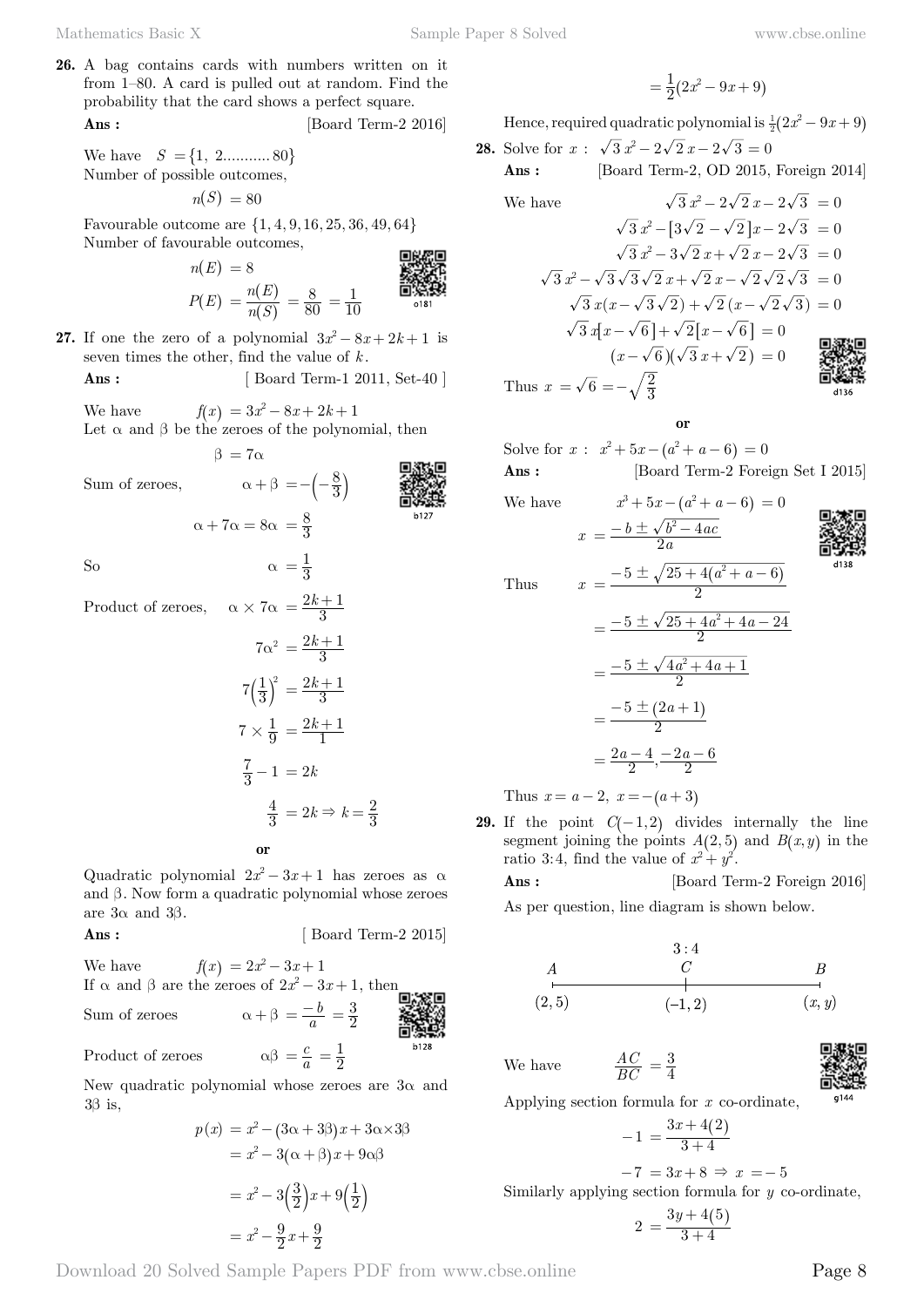**26.** A bag contains cards with numbers written on it from 1–80. A card is pulled out at random. Find the probability that the card shows a perfect square. **Ans :** [Board Term-2 2016]

We have  $S = \{1, 2, \ldots, 80\}$ Number of possible outcomes,

 $n(S) = 80$ 

Favourable outcome are  $\{1, 4, 9, 16, 25, 36, 49, 64\}$ Number of favourable outcomes, 回路架回

$$
n(E) = 8
$$
  
\n
$$
P(E) = \frac{n(E)}{n(S)} = \frac{8}{80} = \frac{1}{10}
$$

**27.** If one the zero of a polynomial  $3x^2 - 8x + 2k + 1$  is seven times the other, find the value of *k* .

**Ans :** [ Board Term-1 2011, Set-40 ]

We have  $f(x) = 3x^2 - 8x + 2k + 1$ Let  $\alpha$  and  $\beta$  be the zeroes of the polynomial, then

 $\alpha + 7\alpha = 8\alpha = \frac{8}{3}$ 

 $\beta = 7\alpha$ 

Sum of zeroes,  $\alpha + \beta = -\left(-\frac{8}{3}\right)$ 



b128

So  $\alpha = \frac{1}{3}$ 

Product of zeroes,  $\alpha \times 7\alpha = \frac{2k+1}{3}$ 

$$
7\alpha^2 = \frac{2k+1}{3}
$$

$$
7\left(\frac{1}{3}\right)^2 = \frac{2k+1}{3}
$$

$$
7 \times \frac{1}{9} = \frac{2k+1}{1}
$$

$$
\frac{7}{3} - 1 = 2k
$$

$$
\frac{4}{3} = 2k \Rightarrow k = \frac{2}{3}
$$
or

Quadratic polynomial  $2x^2 - 3x + 1$  has zeroes as  $\alpha$ and β . Now form a quadratic polynomial whose zeroes are  $3α$  and  $3β$ .

$$
Ans: \qquad \qquad [\text{Board Term-2 2015}]
$$

We have 
$$
f(x) = 2x^2 - 3x + 1
$$
  
If  $\alpha$  and  $\beta$  are the zeroes of  $2x^2 - 3x + 1$ , then

Sum of zeroes 
$$
\alpha + \beta = \frac{-b}{a} = \frac{3}{2}
$$
  
Product of zeroes  $\alpha\beta = \frac{c}{a} = \frac{1}{2}$ 

Product of zeroes

New quadratic polynomial whose zeroes are  $3\alpha$  and  $3\beta$  is,

$$
p(x) = x2 - (3\alpha + 3\beta)x + 3\alpha \times 3\beta
$$

$$
= x2 - 3(\alpha + \beta)x + 9\alpha\beta
$$

$$
= x2 - 3(\frac{3}{2})x + 9(\frac{1}{2})
$$

$$
= x2 - \frac{9}{2}x + \frac{9}{2}
$$

$$
=\frac{1}{2}(2x^2-9x+9)
$$

Hence, required quadratic polynomial is  $\frac{1}{2} (2x^2 - 9x + 9)$ 

**28.** Solve for  $x : \sqrt{3} x^2 - 2\sqrt{2} x - 2\sqrt{3} = 0$  **Ans :** [Board Term-2, OD 2015, Foreign 2014]

We have 
$$
\sqrt{3}x^2 - 2\sqrt{2}x - 2\sqrt{3} = 0
$$
  
\n $\sqrt{3}x^2 - [3\sqrt{2} - \sqrt{2}]x - 2\sqrt{3} = 0$   
\n $\sqrt{3}x^2 - 3\sqrt{2}x + \sqrt{2}x - 2\sqrt{3} = 0$   
\n $\sqrt{3}x^2 - \sqrt{3}\sqrt{3}\sqrt{2}x + \sqrt{2}x - \sqrt{2}\sqrt{2}\sqrt{3} = 0$   
\n $\sqrt{3}x(x - \sqrt{3}\sqrt{2}) + \sqrt{2}(x - \sqrt{2}\sqrt{3}) = 0$   
\n $\sqrt{3}x[x - \sqrt{6}] + \sqrt{2}[x - \sqrt{6}] = 0$   
\n $(x - \sqrt{6})(\sqrt{3}x + \sqrt{2}) = 0$ 

Í

 **o**

2

Solve for  $x : x^2 + 5x - (a^2 + a - 6) = 0$ Ans : [Board Term-2 Foreign Set I 2015]

We have  $x^3 + 5x - (a^2 + a - 6) = 0$ 

$$
f_{\rm{max}}
$$

 $x = \frac{-v - v_0}{2a}$  $b \pm \sqrt{b^2-4ac}$  $=\frac{-b\pm\sqrt{b^2-4}}{2a}$ 

 $a^2 + a$ 



Thus *x*

Thus 
$$
x = \frac{-5 \pm \sqrt{25 + 4(a^2 + a - 6)}}{2}
$$

$$
= \frac{-5 \pm \sqrt{25 + 4a^2 + 4a - 24}}{2}
$$

$$
= \frac{-5 \pm \sqrt{4a^2 + 4a + 1}}{2}
$$

$$
= \frac{-5 \pm (2a + 1)}{2}
$$

$$
= \frac{2a - 4}{2}, \frac{-2a - 6}{2}
$$

Thus  $x = a - 2$ ,  $x = -(a + 3)$ 

**29.** If the point  $C(-1,2)$  divides internally the line segment joining the points  $A(2,5)$  and  $B(x, y)$  in the ratio 3:4, find the value of  $x^2 + y^2$ .

**Ans :** [Board Term-2 Foreign 2016] As per question, line diagram is shown below.

We have *AC*



Applying section formula for *x* co-ordinate,

 $=\frac{3}{4}$ 

$$
-1 = \frac{3x + 4(2)}{3 + 4}
$$

$$
-7 = 3x + 8 \Rightarrow x = -5
$$

Similarly applying section formula for *y* co-ordinate,

$$
2 = \frac{3y + 4(5)}{3 + 4}
$$

Download 20 Solved Sample Papers PDF from [www.cbse.online](http://www.cbse.online) Page 8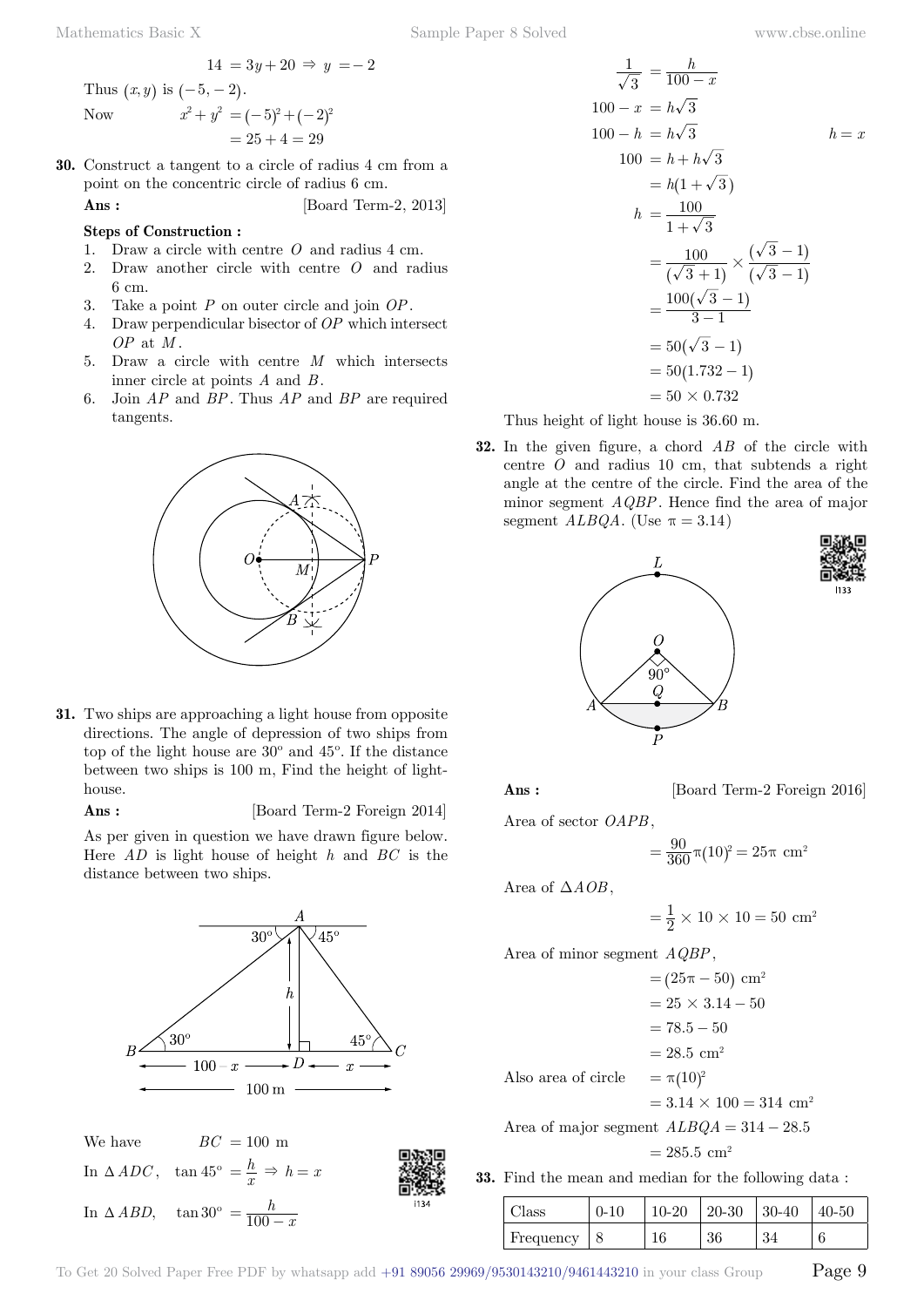$$
14 = 3y + 20 \Rightarrow y = -2
$$

Thus  $(x, y)$  is  $(-5, -2)$ . Now  $x^2 + y^2 = (-5)^2 + (-2)^2$ 

$$
= 25 + 4 = 29
$$

**30.** Construct a tangent to a circle of radius 4 cm from a point on the concentric circle of radius 6 cm.

**Ans :** [Board Term-2, 2013]

### **Steps of Construction :**

- 1. Draw a circle with centre *O* and radius 4 cm.
- 2. Draw another circle with centre *O* and radius 6 cm.
- 3. Take a point *P* on outer circle and join *OP*.
- 4. Draw perpendicular bisector of *OP* which intersect *OP* at *M* .
- 5. Draw a circle with centre *M* which intersects inner circle at points *A* and *B* .
- 6. Join *AP* and *BP*. Thus *AP* and *BP* are required tangents.



**31.** Two ships are approaching a light house from opposite directions. The angle of depression of two ships from top of the light house are 30º and 45º. If the distance between two ships is 100 m, Find the height of lighthouse.

**Ans :** [Board Term-2 Foreign 2014]

As per given in question we have drawn figure below. Here *AD* is light house of height *h* and *BC* is the distance between two ships.



$$
\frac{1}{\sqrt{3}} = \frac{h}{100 - x}
$$
  
\n
$$
100 - x = h\sqrt{3}
$$
  
\n
$$
100 - h = h\sqrt{3}
$$
  
\n
$$
100 = h + h\sqrt{3}
$$
  
\n
$$
= h(1 + \sqrt{3})
$$
  
\n
$$
h = \frac{100}{1 + \sqrt{3}}
$$
  
\n
$$
= \frac{100}{(\sqrt{3} + 1)} \times \frac{(\sqrt{3} - 1)}{(\sqrt{3} - 1)}
$$
  
\n
$$
= \frac{100(\sqrt{3} - 1)}{3 - 1}
$$
  
\n
$$
= 50(\sqrt{3} - 1)
$$
  
\n
$$
= 50(1.732 - 1)
$$
  
\n
$$
= 50 \times 0.732
$$

Thus height of light house is 36.60 m.

**32.** In the given figure, a chord *AB* of the circle with centre *O* and radius 10 cm, that subtends a right angle at the centre of the circle. Find the area of the minor segment *AQBP*. Hence find the area of major segment  $ALBQA$ . (Use  $\pi = 3.14$ )





**Ans :** [Board Term-2 Foreign 2016]

Area of sector *OAPB* ,

$$
=\frac{90}{360}\pi(10)^2=25\pi\,\,\text{cm}^2
$$

Area of  $\triangle AOB$ ,

$$
=\frac{1}{2} \times 10 \times 10 = 50
$$
 cm<sup>2</sup>

Area of minor segment *AQBP*,

 $= (25\pi - 50)$  cm<sup>2</sup>  $= 25 \times 3.14 - 50$  $= 78.5 - 50$  $= 28.5$  cm<sup>2</sup> Also area of circle  $= \pi (10)^2$  $= 3.14 \times 100 = 314$  cm<sup>2</sup> Area of major segment  $ALBQA = 314 - 28.5$ 

$$
= 285.5 \, \text{cm}^2
$$

**33.** Find the mean and median for the following data :

| Class     | $0 - 10$ | $10-20$ | $20-30$ | $30-40$ | $40 - 50$ |
|-----------|----------|---------|---------|---------|-----------|
| Frequency |          |         | 36      | -34     |           |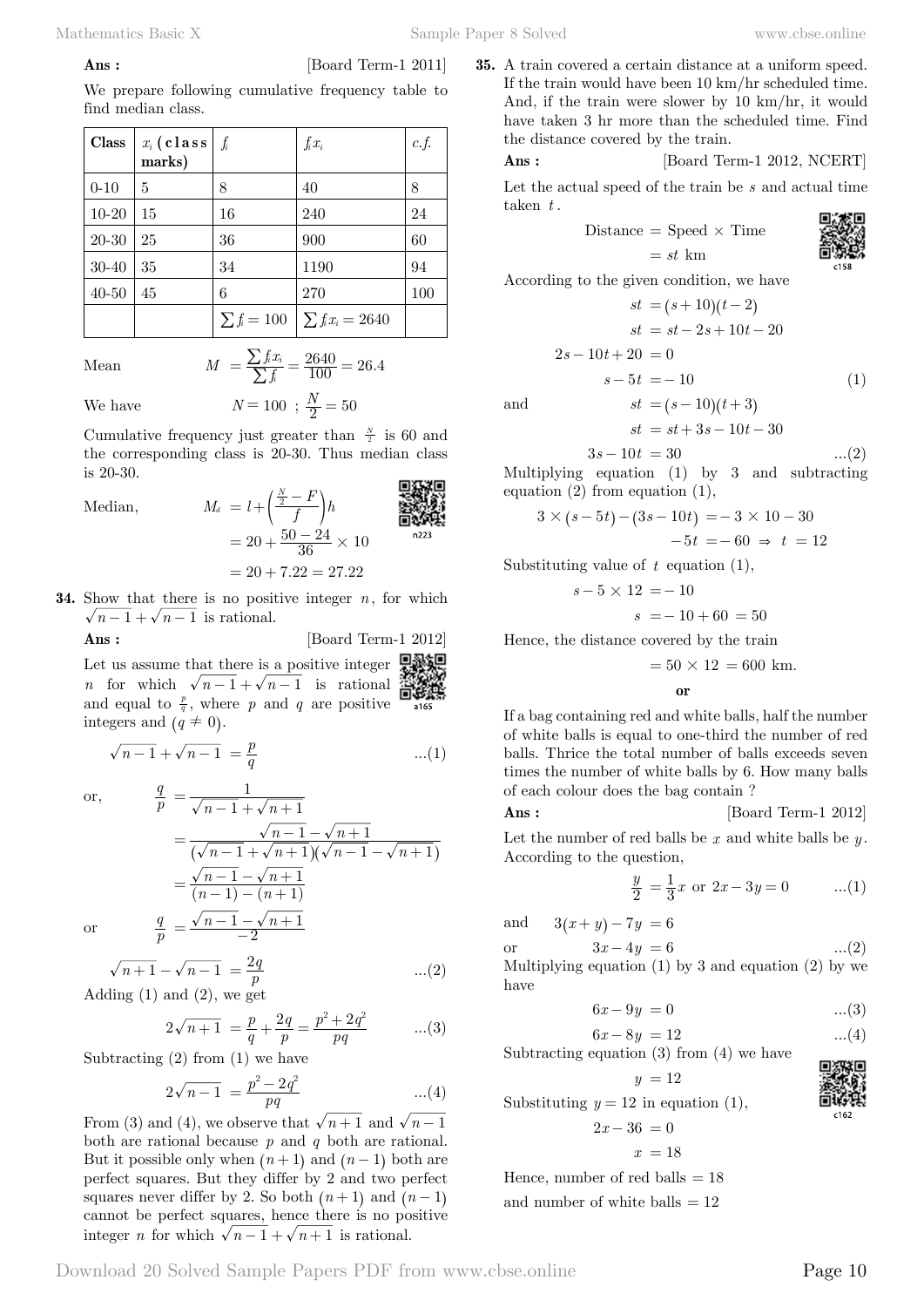#### **Ans :** [Board Term-1 2011]

We prepare following cumulative frequency table to find median class.

| Class     | $x_i$ (class<br>marks) | $\int_i$ | $f_i x_i$                                 | c.f. |
|-----------|------------------------|----------|-------------------------------------------|------|
| $0 - 10$  | 5                      | 8        | 40                                        | 8    |
| $10 - 20$ | 15                     | 16       | 240                                       | 24   |
| 20-30     | 25                     | 36       | 900                                       | 60   |
| 30-40     | 35                     | 34       | 1190                                      | 94   |
| $40 - 50$ | 45                     | 6        | 270                                       | 100  |
|           |                        |          | $\sum f_i = 100 \mid \sum f_i x_i = 2640$ |      |

Mean  $M = \frac{\sum f_i x_i}{\sum f_i} = \frac{2640}{100} = 26.$  $=\frac{\sum f_i x_i}{\sum f_i} = \frac{2640}{100} = 26.4$ 

We have  $N = 100$ ;  $\frac{N}{2} = 50$ 

Cumulative frequency just greater than  $\frac{N}{2}$  is 60 and the corresponding class is 20-30. Thus median class is 20-30. 回波深电

Median, *<sup>M</sup><sup>d</sup> <sup>l</sup> <sup>f</sup>*

Median,  
\n
$$
M_d = l + \left(\frac{\frac{N}{2} - F}{f}\right)h
$$
\n
$$
= 20 + \frac{50 - 24}{36} \times 10
$$
\n
$$
= 20 + 7.22 = 27.22
$$

**34.** Show that there is no positive integer *n*, for which  $\sqrt{n-1} + \sqrt{n-1}$  is rational.

**Ans :** [Board Term-1 2012]

Let us assume that there is a positive integer *n* for which  $\sqrt{n-1} + \sqrt{n-1}$  is rational 白蜂蝶 and equal to  $\frac{p}{q}$ , where *p* and *q* are positive integers and  $(q \neq 0)$ .

$$
\sqrt{n-1} + \sqrt{n-1} = \frac{p}{q}
$$
...(1)

 $\alpha r$ 

or,  
\n
$$
\frac{q}{p} = \frac{1}{\sqrt{n-1} + \sqrt{n+1}}
$$
\n
$$
= \frac{\sqrt{n-1} - \sqrt{n+1}}{(\sqrt{n-1} + \sqrt{n+1})(\sqrt{n-1} - \sqrt{n+1})}
$$
\n
$$
= \frac{\sqrt{n-1} - \sqrt{n+1}}{(n-1) - (n+1)}
$$
\nor\n
$$
\frac{q}{p} = \frac{\sqrt{n-1} - \sqrt{n+1}}{-2}
$$

$$
\sqrt{n+1} - \sqrt{n-1} = \frac{2q}{p}
$$
...(2)  
Adding (1) and (2), we get

$$
2\sqrt{n+1} = \frac{p}{q} + \frac{2q}{p} = \frac{p^2 + 2q^2}{pq} \qquad ...(3)
$$

Subtracting  $(2)$  from  $(1)$  we have

$$
2\sqrt{n-1} = \frac{p^2 - 2q^2}{pq} \qquad \qquad ...(4)
$$

From (3) and (4), we observe that  $\sqrt{n+1}$  and  $\sqrt{n-1}$ both are rational because *p* and *q* both are rational. But it possible only when  $(n + 1)$  and  $(n - 1)$  both are perfect squares. But they differ by 2 and two perfect squares never differ by 2. So both  $(n + 1)$  and  $(n - 1)$ cannot be perfect squares, hence there is no positive integer *n* for which  $\sqrt{n-1} + \sqrt{n+1}$  is rational.

**35.** A train covered a certain distance at a uniform speed. If the train would have been 10 km/hr scheduled time. And, if the train were slower by 10 km/hr, it would have taken 3 hr more than the scheduled time. Find the distance covered by the train.

 **Ans :** [Board Term-1 2012, NCERT]

Let the actual speed of the train be *s* and actual time taken *t* .

> Distance  $=$  Speed  $\times$  Time  $= st \text{ km}$

$$
\frac{1}{2}
$$

According to the given condition, we have

$$
st = (s+10)(t-2)
$$
  
\n
$$
st = st - 2s + 10t - 20
$$
  
\n
$$
2s - 10t + 20 = 0
$$
  
\n
$$
s - 5t = -10
$$
\n(1)

and  $st = (s - 10)(t + 3)$ 

$$
st = st + 3s - 10t - 30
$$

$$
3s - 10t = 30 \tag{2}
$$

Multiplying equation (1) by 3 and subtracting equation (2) from equation (1),

$$
3 \times (s - 5t) - (3s - 10t) = -3 \times 10 - 30
$$
  
-5t = -60  $\Rightarrow$  t = 12

Substituting value of *t* equation (1),

$$
s-5 \times 12 = -10
$$
  

$$
s = -10 + 60 = 50
$$

Hence, the distance covered by the train

$$
= 50 \times 12 = 600
$$
 km.

 **o**

If a bag containing red and white balls, half the number of white balls is equal to one-third the number of red balls. Thrice the total number of balls exceeds seven times the number of white balls by 6. How many balls of each colour does the bag contain ?

### **Ans :** [Board Term-1 2012]

Let the number of red balls be *x* and white balls be *y* . According to the question,

$$
\frac{y}{2} = \frac{1}{3}x \text{ or } 2x - 3y = 0 \qquad ...(1)
$$

and  $3(x + y) - 7y = 6$ 

or  $3x - 4y = 6$  ...(2)

Multiplying equation  $(1)$  by 3 and equation  $(2)$  by we have

$$
6x - 9y = 0
$$
 ...(3)

 $6x - 8y = 12$  ...(4) Subtracting equation  $(3)$  from  $(4)$  we have

$$
y = 12
$$

Substituting  $y = 12$  in equation (1),  $2x - 36 = 0$ 

$$
x = 18
$$

Hence, number of red balls  $= 18$ 

and number of white balls  $= 12$